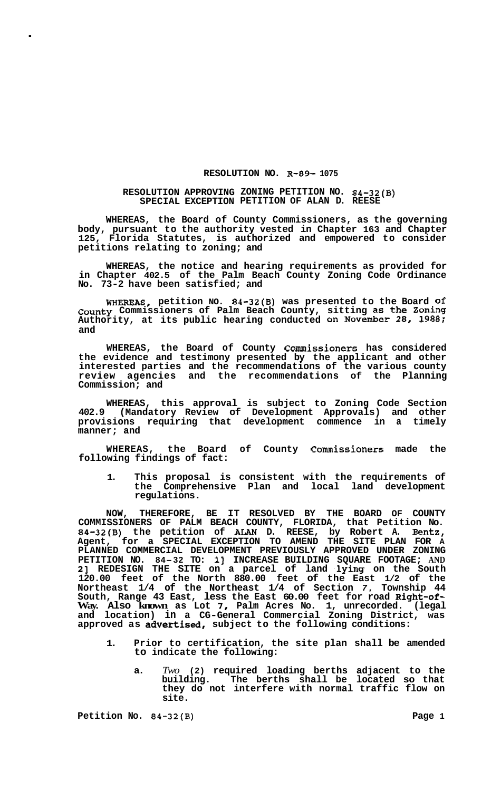## **RESOLUTION NO. R-89- 1075**

## **RESOLUTION APPROVING ZONING PETITION NO. 84-32(B) SPECIAL EXCEPTION PETITION OF ALAN D. REESE**

**WHEREAS, the Board of County Commissioners, as the governing body, pursuant to the authority vested in Chapter 163 and Chapter 125, Florida Statutes, is authorized and empowered to consider petitions relating to zoning; and** 

**WHEREAS, the notice and hearing requirements as provided for in Chapter 402.5 of the Palm Beach County Zoning Code Ordinance No. 73-2 have been satisfied; and** 

**WHEREAS, petition NO. 84-32(B) was presented to the Board of County Commissioners of Palm Beach County, sitting as the Zoning Authority, at its public hearing conducted on November 28, 1988; and** 

**WHEREAS, the Board of County Commissioners has considered the evidence and testimony presented by the applicant and other interested parties and the recommendations of the various county review agencies and the recommendations of the Planning Commission; and** 

**WHEREAS, this approval is subject to Zoning Code Section 402.9 (Mandatory Review of Development Approvals) and other provisions requiring that development commence in a timely manner; and** 

**WHEREAS, the Board of County Commissioners made the following findings of fact:** 

**1. This proposal is consistent with the requirements of the Comprehensive Plan and local land development regulations.** 

**NOW, THEREFORE, BE IT RESOLVED BY THE BOARD OF COUNTY COMMISSIONERS OF PALM BEACH COUNTY, FLORIDA, that Petition No. 84-32(B) the petition of ALAN D. REESE, by Robert A. Bentz, Agent, for a SPECIAL EXCEPTION TO AMEND THE SITE PLAN FOR A PLANNED COMMERCIAL DEVELOPMENT PREVIOUSLY APPROVED UNDER ZONING PETITION NO. 84-32 TO: 11 INCREASE BUILDING SQUARE FOOTAGE; AND 2] REDESIGN THE SITE on a parcel of land lying on the South 120.00 feet of the North 880.00 feet of the East 1/2 of the Northeast 1/4 of the Northeast 1/4 of Section** *7,* **Township 44 South, Range 43 East, less the East 60.00 feet for road Right-of-Way. Also known as Lot** *7,* **Palm Acres No. 1, unrecorded. (legal and location) in a CG-General Commercial Zoning District, was approved as advertised, subject to the following conditions:** 

- **1. Prior to certification, the site plan shall be amended to indicate the following:** 
	- **a.** *Two* **(2) required loading berths adjacent to the building. The berths shall be located so that they do not interfere with normal traffic flow on site.**

**Petition No. 84-32(B)** Page 1

.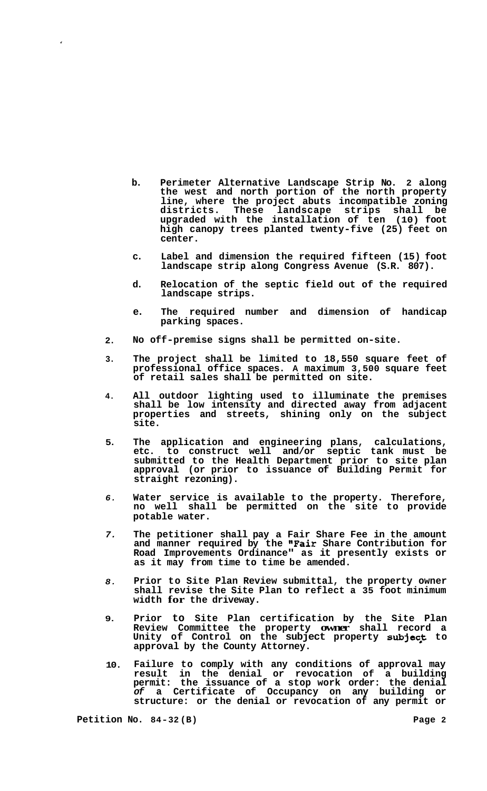- **b. Perimeter Alternative Landscape Strip No. 2 along the west and north portion of the north property line, where the project abuts incompatible zoning districts. These landscape strips shall be upgraded with the installation of ten (10) foot high canopy trees planted twenty-five (25) feet on center.**
- **c. Label and dimension the required fifteen (15) foot landscape strip along Congress Avenue (S.R. 807).**
- **d. Relocation of the septic field out of the required landscape strips.**
- **e. The required number and dimension of handicap parking spaces.**
- **2. No off-premise signs shall be permitted on-site.**
- **3. The project shall be limited to 18,550 square feet of professional office spaces. A maximum 3,500 square feet of retail sales shall be permitted on site.**
- **4. All outdoor lighting used to illuminate the premises shall be low intensity and directed away from adjacent properties and streets, shining only on the subject site.**
- **5. The application and engineering plans, calculations, etc. to construct well and/or septic tank must be submitted to the Health Department prior to site plan approval (or prior to issuance of Building Permit for straight rezoning).**
- *6.*  **Water service is available to the property. Therefore, no well shall be permitted on the site to provide potable water.**
- *7.*  **The petitioner shall pay a Fair Share Fee in the amount and manner required by the "Fair Share Contribution for Road Improvements Ordinance" as it presently exists or as it may from time to time be amended.**
- *8.*  **Prior to Site Plan Review submittal, the property owner shall revise the Site Plan to reflect a 35 foot minimum width for the driveway.**
- **9. Prior to Site Plan certification by the Site Plan Review Committee the property owner shall record a**  Unity of Control on the subject property subj**ect** to **approval by the County Attorney.**
- **10. Failure to comply with any conditions of approval may result in the denial or revocation of a building permit: the issuance of a stop work order: the denial**  *of* **a Certificate of Occupancy on any building or structure: or the denial or revocation of any permit or**